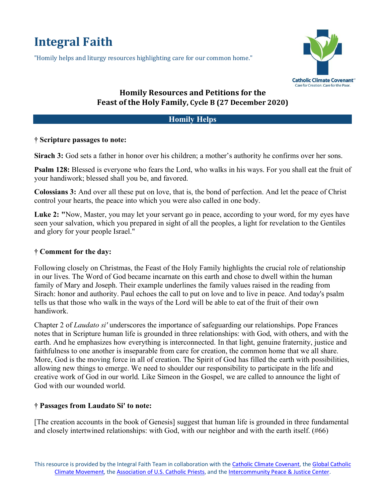# **Integral Faith**

"Homily helps and liturgy resources highlighting care for our common home."



# **Homily Resources and Petitions for the** Feast of the Holy Family, Cycle B (27 December 2020)

# **Homily Helps**

## **† Scripture passages to note:**

**Sirach 3:** God sets a father in honor over his children; a mother's authority he confirms over her sons.

**Psalm 128:** Blessed is everyone who fears the Lord, who walks in his ways. For you shall eat the fruit of your handiwork; blessed shall you be, and favored.

**Colossians 3:** And over all these put on love, that is, the bond of perfection. And let the peace of Christ control your hearts, the peace into which you were also called in one body.

**Luke 2: "**Now, Master, you may let your servant go in peace, according to your word, for my eyes have seen your salvation, which you prepared in sight of all the peoples, a light for revelation to the Gentiles and glory for your people Israel."

### **† Comment for the day:**

Following closely on Christmas, the Feast of the Holy Family highlights the crucial role of relationship in our lives. The Word of God became incarnate on this earth and chose to dwell within the human family of Mary and Joseph. Their example underlines the family values raised in the reading from Sirach: honor and authority. Paul echoes the call to put on love and to live in peace. And today's psalm tells us that those who walk in the ways of the Lord will be able to eat of the fruit of their own handiwork.

Chapter 2 of *Laudato si'* underscores the importance of safeguarding our relationships. Pope Frances notes that in Scripture human life is grounded in three relationships: with God, with others, and with the earth. And he emphasizes how everything is interconnected. In that light, genuine fraternity, justice and faithfulness to one another is inseparable from care for creation, the common home that we all share. More, God is the moving force in all of creation. The Spirit of God has filled the earth with possibilities, allowing new things to emerge. We need to shoulder our responsibility to participate in the life and creative work of God in our world. Like Simeon in the Gospel, we are called to announce the light of God with our wounded world.

# **† Passages from Laudato Si' to note:**

[The creation accounts in the book of Genesis] suggest that human life is grounded in three fundamental and closely intertwined relationships: with God, with our neighbor and with the earth itself. (#66)